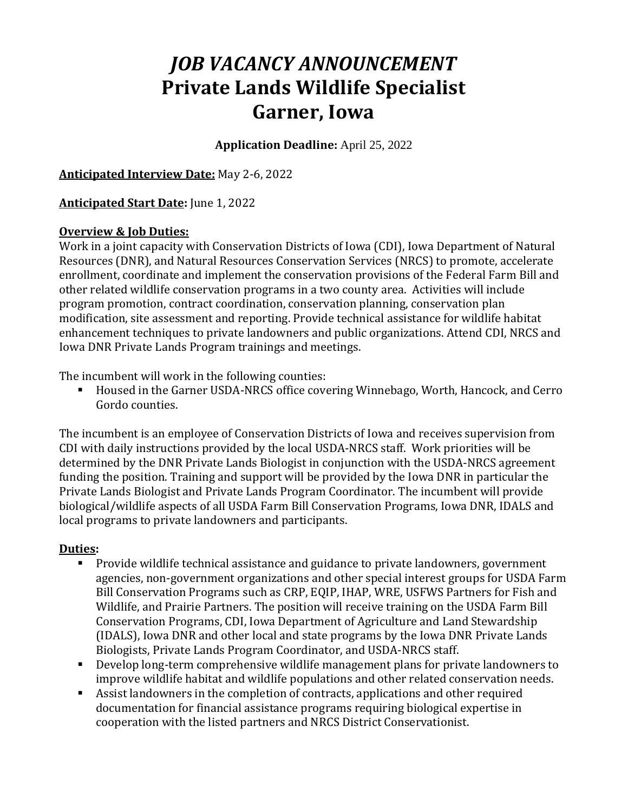## *JOB VACANCY ANNOUNCEMENT* **Private Lands Wildlife Specialist Garner, Iowa**

**Application Deadline:** April 25, 2022

**Anticipated Interview Date:** May 2-6, 2022

**Anticipated Start Date:** June 1, 2022

## **Overview & Job Duties:**

Work in a joint capacity with Conservation Districts of Iowa (CDI), Iowa Department of Natural Resources (DNR), and Natural Resources Conservation Services (NRCS) to promote, accelerate enrollment, coordinate and implement the conservation provisions of the Federal Farm Bill and other related wildlife conservation programs in a two county area. Activities will include program promotion, contract coordination, conservation planning, conservation plan modification, site assessment and reporting. Provide technical assistance for wildlife habitat enhancement techniques to private landowners and public organizations. Attend CDI, NRCS and Iowa DNR Private Lands Program trainings and meetings.

The incumbent will work in the following counties:

■ Housed in the Garner USDA-NRCS office covering Winnebago, Worth, Hancock, and Cerro Gordo counties.

The incumbent is an employee of Conservation Districts of Iowa and receives supervision from CDI with daily instructions provided by the local USDA-NRCS staff. Work priorities will be determined by the DNR Private Lands Biologist in conjunction with the USDA-NRCS agreement funding the position. Training and support will be provided by the Iowa DNR in particular the Private Lands Biologist and Private Lands Program Coordinator. The incumbent will provide biological/wildlife aspects of all USDA Farm Bill Conservation Programs, Iowa DNR, IDALS and local programs to private landowners and participants.

## **Duties:**

- Provide wildlife technical assistance and guidance to private landowners, government agencies, non-government organizations and other special interest groups for USDA Farm Bill Conservation Programs such as CRP, EQIP, IHAP, WRE, USFWS Partners for Fish and Wildlife, and Prairie Partners. The position will receive training on the USDA Farm Bill Conservation Programs, CDI, Iowa Department of Agriculture and Land Stewardship (IDALS), Iowa DNR and other local and state programs by the Iowa DNR Private Lands Biologists, Private Lands Program Coordinator, and USDA-NRCS staff.
- Develop long-term comprehensive wildlife management plans for private landowners to improve wildlife habitat and wildlife populations and other related conservation needs.
- Assist landowners in the completion of contracts, applications and other required documentation for financial assistance programs requiring biological expertise in cooperation with the listed partners and NRCS District Conservationist.